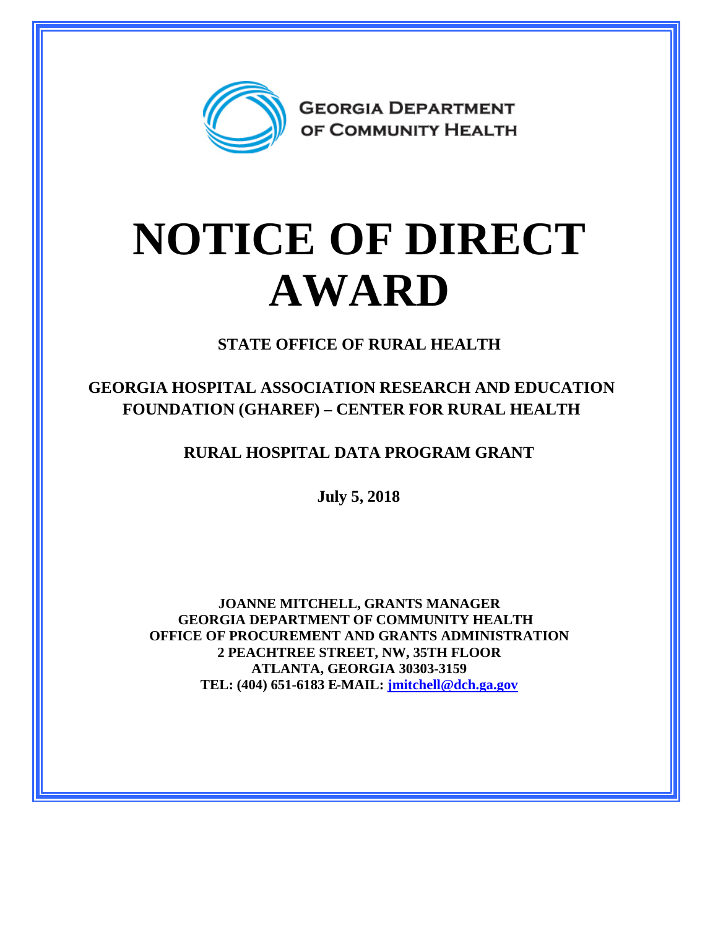

## **NOTICE OF DIRECT AWARD**

**STATE OFFICE OF RURAL HEALTH**

**GEORGIA HOSPITAL ASSOCIATION RESEARCH AND EDUCATION FOUNDATION (GHAREF) – CENTER FOR RURAL HEALTH**

**RURAL HOSPITAL DATA PROGRAM GRANT**

**July 5, 2018**

**JOANNE MITCHELL, GRANTS MANAGER GEORGIA DEPARTMENT OF COMMUNITY HEALTH OFFICE OF PROCUREMENT AND GRANTS ADMINISTRATION 2 PEACHTREE STREET, NW, 35TH FLOOR ATLANTA, GEORGIA 30303-3159 TEL: (404) 651-6183 E-MAIL: [jmitchell@dch.ga.gov](mailto:jmitchell@dch.ga.gov)**